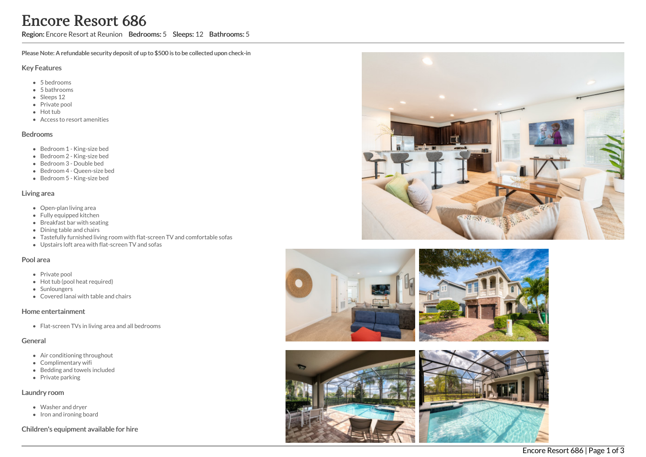Region: Encore Resort at Reunion Bedrooms: 5 Sleeps: 12 Bathrooms: 5

Please Note: A refundable security deposit of up to \$500 is to be collected upon check-in

#### Key Features

- 5 b e d r o o m s
- 5 bathrooms
- Sleeps 12
- Private pool
- Hot tub
- Access to resort amenities

#### **Bedrooms**

- Bedroom 1 King-size bed
- Bedroom 2 King-size bed
- Bedroom 3 Double bed
- Bedroom 4 Queen-size bed
- Bedroom 5 King-size bed

#### Living area

- Open-plan living area
- Fully equipped kitchen
- Breakfast bar with seating
- Dining table and chairs
- Tastefully furnished living room with flat-screen TV and comfortable sofas
- Upstairs loft area with flat-screen TV and sofas

## Pool area

- Private pool
- Hot tub (pool heat required)
- **Sunloungers**
- Covered lanai with table and chairs

## Home entertainment

Flat-screen TVs in living area and all bedrooms

## General

- Air conditioning throughout
- Complimentary wifi
- Bedding and towels in clu d e d
- Private parking

## Laundry room

- Washer and dryer
- Iron and ironing board

Children's equipment available for hire





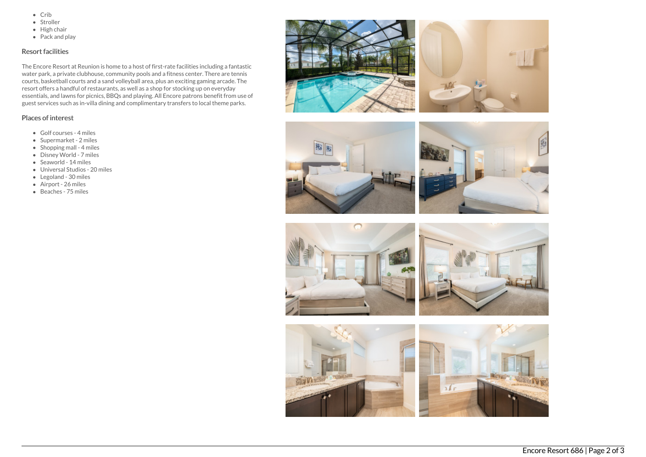- $\bullet$  Crib
- Stroller
- $\bullet$  High chair
- Pack and play

# Resort facilities

The Encore Resort at Reunion is home to a host of first-rate facilities including a fantastic water park, a private clubhouse, community pools and a fitness center. There are tennis courts, basketball courts and a sand volleyball area, plus an exciting gaming arcade. The resort offers a handful of restaurants, as well as a shop for stocking up on everyday essentials, and lawns for picnics, BBQs and playing. All Encore patrons benefit from use of guest services such as in-villa dining and complimentary transfers to local theme parks.

## Places of interest

- Golf courses 4 miles
- Supermarket 2 miles
- $\bullet$  Shopping mall 4 miles
- Disney World 7 miles
- Seaworld 14 miles
- Universal Studios 20 miles
- Legoland 30 miles
- Airport 26 miles
- Beaches 75 miles